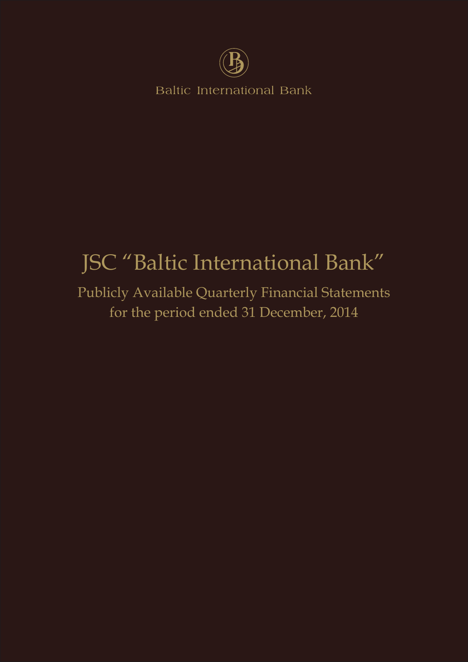

**Baltic International Bank** 

# JSC "Baltic International Bank"

Publicly Available Quarterly Financial Statements for the period ended 31 December, 2014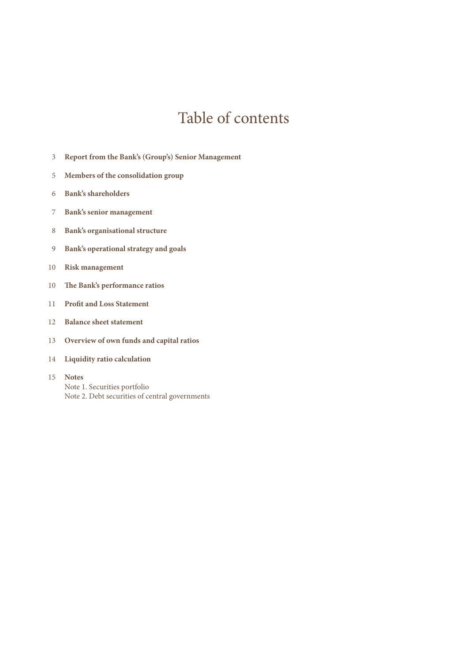### Table of contents

- **Report from the Bank's (Group's) Senior Management**
- **Members of the consolidation group**
- **Bank's shareholders**
- **Bank's senior management**
- **Bank's organisational structure**
- **Bank's operational strategy and goals**
- **Risk management**
- **The Bank's performance ratios**
- **Profit and Loss Statement**
- **Balance sheet statement**
- **Overview of own funds and capital ratios**
- **Liquidity ratio calculation**
- **Notes** Note 1. Securities portfolio Note 2. Debt securities of central governments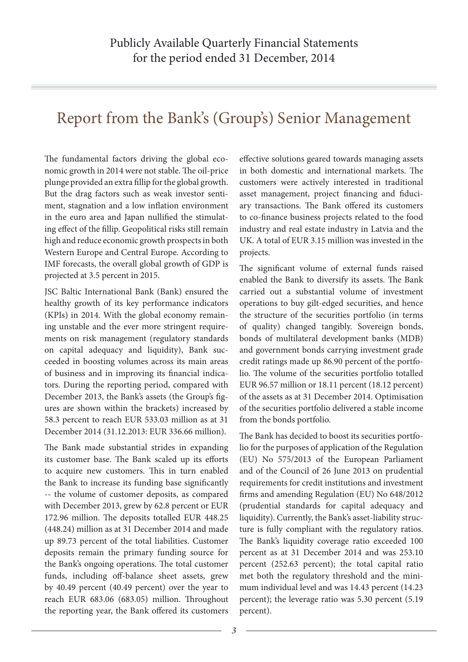### Report from the Bank's (Group's) Senior Management

The fundamental factors driving the global economic growth in 2014 were not stable. The oil-price plunge provided an extra fillip for the global growth. But the drag factors such as weak investor sentiment, stagnation and a low inflation environment in the euro area and Japan nullified the stimulating effect of the fillip. Geopolitical risks still remain high and reduce economic growth prospects in both Western Europe and Central Europe. According to IMF forecasts, the overall global growth of GDP is projected at 3.5 percent in 2015.

JSC Baltic International Bank (Bank) ensured the healthy growth of its key performance indicators (KPIs) in 2014. With the global economy remaining unstable and the ever more stringent requirements on risk management (regulatory standards on capital adequacy and liquidity), Bank succeeded in boosting volumes across its main areas of business and in improving its financial indicators. During the reporting period, compared with December 2013, the Bank's assets (the Group's figures are shown within the brackets) increased by 58.3 percent to reach EUR 533.03 million as at 31 December 2014 (31.12.2013: EUR 336.66 million).

The Bank made substantial strides in expanding its customer base. The Bank scaled up its efforts to acquire new customers. This in turn enabled the Bank to increase its funding base significantly -- the volume of customer deposits, as compared with December 2013, grew by 62.8 percent or EUR 172.96 million. The deposits totalled EUR 448.25 (448.24) million as at 31 December 2014 and made up 89.73 percent of the total liabilities. Customer deposits remain the primary funding source for the Bank's ongoing operations. The total customer funds, including off-balance sheet assets, grew by 40.49 percent (40.49 percent) over the year to reach EUR 683.06 (683.05) million. Throughout the reporting year, the Bank offered its customers

effective solutions geared towards managing assets in both domestic and international markets. The customers were actively interested in traditional asset management, project financing and fiduciary transactions. The Bank offered its customers to co-finance business projects related to the food industry and real estate industry in Latvia and the UK. A total of EUR 3.15 million was invested in the projects.

The significant volume of external funds raised enabled the Bank to diversify its assets. The Bank carried out a substantial volume of investment operations to buy gilt-edged securities, and hence the structure of the securities portfolio (in terms of quality) changed tangibly. Sovereign bonds, bonds of multilateral development banks (MDB) and government bonds carrying investment grade credit ratings made up 86.90 percent of the portfolio. The volume of the securities portfolio totalled EUR 96.57 million or 18.11 percent (18.12 percent) of the assets as at 31 December 2014. Optimisation of the securities portfolio delivered a stable income from the bonds portfolio.

The Bank has decided to boost its securities portfolio for the purposes of application of the Regulation (EU) No 575/2013 of the European Parliament and of the Council of 26 June 2013 on prudential requirements for credit institutions and investment firms and amending Regulation (EU) No 648/2012 (prudential standards for capital adequacy and liquidity). Currently, the Bank's asset-liability structure is fully compliant with the regulatory ratios. The Bank's liquidity coverage ratio exceeded 100 percent as at 31 December 2014 and was 253.10 percent (252.63 percent); the total capital ratio met both the regulatory threshold and the minimum individual level and was 14.43 percent (14.23 percent); the leverage ratio was 5.30 percent (5.19 percent).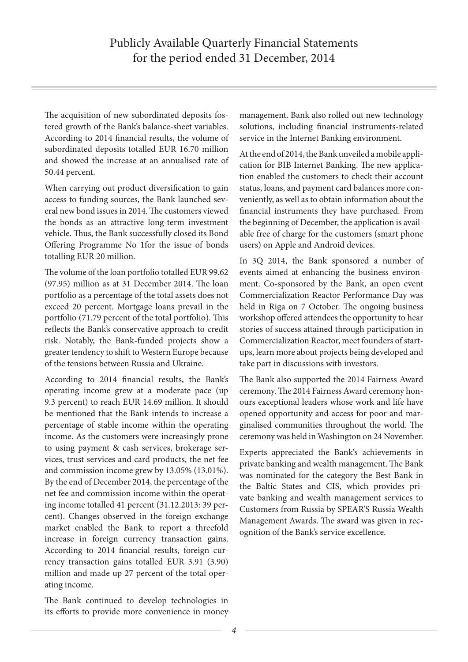The acquisition of new subordinated deposits fostered growth of the Bank's balance-sheet variables. According to 2014 financial results, the volume of subordinated deposits totalled EUR 16.70 million and showed the increase at an annualised rate of 50.44 percent.

When carrying out product diversification to gain access to funding sources, the Bank launched several new bond issues in 2014. The customers viewed the bonds as an attractive long-term investment vehicle. Thus, the Bank successfully closed its Bond Offering Programme No 1for the issue of bonds totalling EUR 20 million.

The volume of the loan portfolio totalled EUR 99.62 (97.95) million as at 31 December 2014. The loan portfolio as a percentage of the total assets does not exceed 20 percent. Mortgage loans prevail in the portfolio (71.79 percent of the total portfolio). This reflects the Bank's conservative approach to credit risk. Notably, the Bank-funded projects show a greater tendency to shift to Western Europe because of the tensions between Russia and Ukraine.

According to 2014 financial results, the Bank's operating income grew at a moderate pace (up 9.3 percent) to reach EUR 14.69 million. It should be mentioned that the Bank intends to increase a percentage of stable income within the operating income. As the customers were increasingly prone to using payment & cash services, brokerage services, trust services and card products, the net fee and commission income grew by 13.05% (13.01%). By the end of December 2014, the percentage of the net fee and commission income within the operating income totalled 41 percent (31.12.2013: 39 percent). Changes observed in the foreign exchange market enabled the Bank to report a threefold increase in foreign currency transaction gains. According to 2014 financial results, foreign currency transaction gains totalled EUR 3.91 (3.90) million and made up 27 percent of the total operating income.

The Bank continued to develop technologies in its efforts to provide more convenience in money management. Bank also rolled out new technology solutions, including financial instruments-related service in the Internet Banking environment.

At the end of 2014, the Bank unveiled a mobile application for BIB Internet Banking. The new application enabled the customers to check their account status, loans, and payment card balances more conveniently, as well as to obtain information about the financial instruments they have purchased. From the beginning of December, the application is available free of charge for the customers (smart phone users) on Apple and Android devices.

In 3Q 2014, the Bank sponsored a number of events aimed at enhancing the business environment. Co-sponsored by the Bank, an open event Commercialization Reactor Performance Day was held in Riga on 7 October. The ongoing business workshop offered attendees the opportunity to hear stories of success attained through participation in Commercialization Reactor, meet founders of startups, learn more about projects being developed and take part in discussions with investors.

The Bank also supported the 2014 Fairness Award ceremony. The 2014 Fairness Award ceremony honours exceptional leaders whose work and life have opened opportunity and access for poor and marginalised communities throughout the world. The ceremony was held in Washington on 24 November.

Experts appreciated the Bank's achievements in private banking and wealth management. The Bank was nominated for the category the Best Bank in the Baltic States and CIS, which provides private banking and wealth management services to Customers from Russia by SPEAR'S Russia Wealth Management Awards. The award was given in recognition of the Bank's service excellence.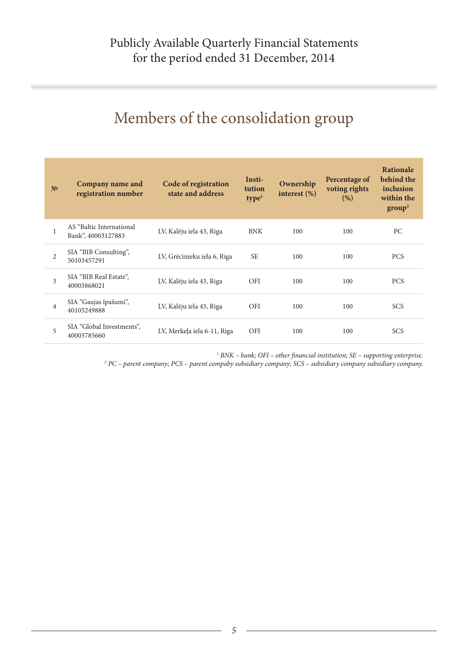### Members of the consolidation group

| N <sup>0</sup> | Company name and<br>registration number        | Code of registration<br>state and address | Insti-<br>tution<br>type <sup>1</sup> | Ownership<br>interest $(\%)$ | Percentage of<br>voting rights<br>(%) | <b>Rationale</b><br>behind the<br>inclusion<br>within the<br>group <sup>2</sup> |
|----------------|------------------------------------------------|-------------------------------------------|---------------------------------------|------------------------------|---------------------------------------|---------------------------------------------------------------------------------|
| 1              | AS "Baltic International<br>Bank", 40003127883 | LV, Kalēju iela 43, Riga                  | <b>BNK</b>                            | 100                          | 100                                   | PC                                                                              |
| $\overline{2}$ | SIA "BIB Consulting",<br>50103457291           | LV, Grēcinieku iela 6, Riga               | <b>SE</b>                             | 100                          | 100                                   | <b>PCS</b>                                                                      |
| 3              | SIA "BIB Real Estate",<br>40003868021          | LV, Kalēju iela 43, Riga                  | <b>OFI</b>                            | 100                          | 100                                   | <b>PCS</b>                                                                      |
| $\overline{4}$ | SIA "Gaujas īpašumi",<br>40103249888           | LV, Kalēju iela 43, Riga                  | <b>OFI</b>                            | 100                          | 100                                   | <b>SCS</b>                                                                      |
| 5              | SIA "Global Investments",<br>40003785660       | LV, Merkeļa iela 6-11, Riga               | <b>OFI</b>                            | 100                          | 100                                   | <b>SCS</b>                                                                      |

*1 BNK – bank; OFI – other financial institution; SE – supporting enterprise. 2 PC – parent company; PCS – parent compaby subsidiary company; SCS – subsidiary company subsidiary company.*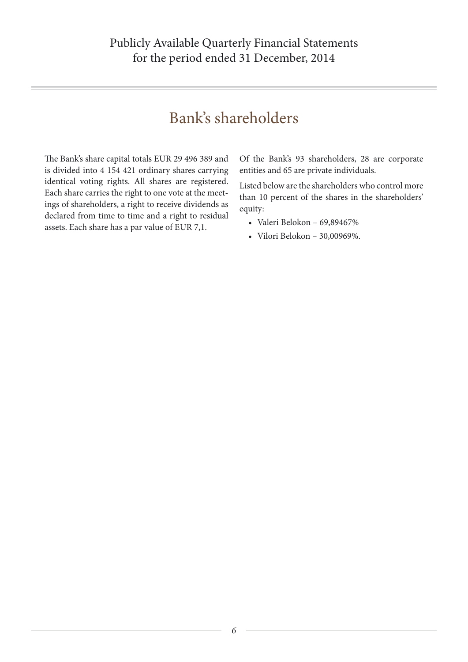### Bank's shareholders

The Вank's share capital totals EUR 29 496 389 and is divided into 4 154 421 ordinary shares carrying identical voting rights. All shares are registered. Each share carries the right to one vote at the meetings of shareholders, a right to receive dividends as declared from time to time and a right to residual assets. Each share has a par value of EUR 7,1.

Of the Bank's 93 shareholders, 28 are corporate entities and 65 are private individuals.

Listed below are the shareholders who control more than 10 percent of the shares in the shareholders' equity:

- Valeri Belokon 69,89467%
- Vilori Belokon 30,00969%.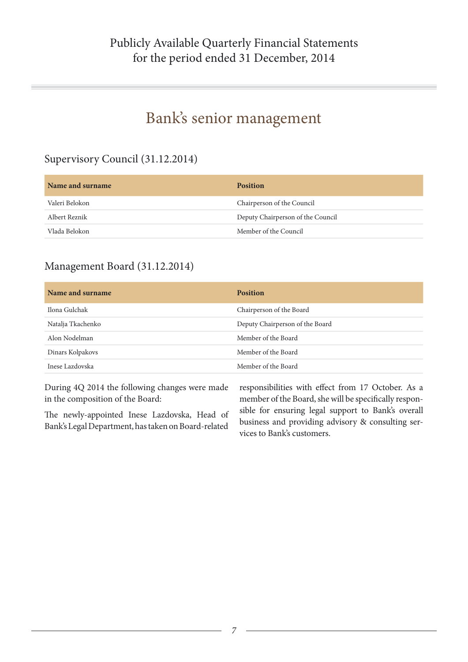### Bank's senior management

### Supervisory Council (31.12.2014)

| Name and surname | <b>Position</b>                   |
|------------------|-----------------------------------|
| Valeri Belokon   | Chairperson of the Council        |
| Albert Reznik    | Deputy Chairperson of the Council |
| Vlada Belokon    | Member of the Council             |

### Management Board (31.12.2014)

| Name and surname  | <b>Position</b>                 |
|-------------------|---------------------------------|
| Ilona Gulchak     | Chairperson of the Board        |
| Natalja Tkachenko | Deputy Chairperson of the Board |
| Alon Nodelman     | Member of the Board             |
| Dinars Kolpakovs  | Member of the Board             |
| Inese Lazdovska   | Member of the Board             |

During 4Q 2014 the following changes were made in the composition of the Board:

The newly-appointed Inese Lazdovska, Head of Bank's Legal Department, has taken on Board-related

responsibilities with effect from 17 October. As a member of the Board, she will be specifically responsible for ensuring legal support to Bank's overall business and providing advisory & consulting services to Bank's customers.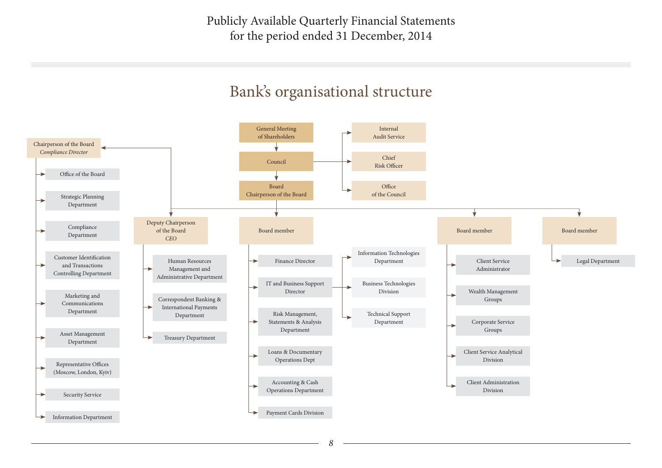

#### *8*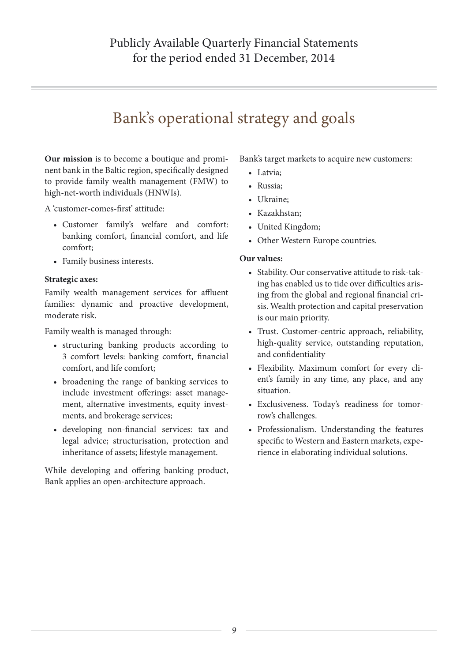### Bank's operational strategy and goals

**Our mission** is to become a boutique and prominent bank in the Baltic region, specifically designed to provide family wealth management (FMW) to high-net-worth individuals (HNWIs).

A 'customer-comes-first' attitude:

- Customer family's welfare and comfort: banking comfort, financial comfort, and life comfort;
- Family business interests.

#### **Strategic axes:**

Family wealth management services for affluent families: dynamic and proactive development, moderate risk.

Family wealth is managed through:

- structuring banking products according to 3 comfort levels: banking comfort, financial comfort, and life comfort;
- broadening the range of banking services to include investment offerings: asset management, alternative investments, equity investments, and brokerage services;
- developing non-financial services: tax and legal advice; structurisation, protection and inheritance of assets; lifestyle management.

While developing and offering banking product, Bank applies an open-architecture approach.

Bank's target markets to acquire new customers:

- Latvia;
- Russia;
- Ukraine;
- Kazakhstan;
- United Kingdom;
- Other Western Europe countries.

#### **Our values:**

- Stability. Our conservative attitude to risk-taking has enabled us to tide over difficulties arising from the global and regional financial crisis. Wealth protection and capital preservation is our main priority.
- Trust. Customer-centric approach, reliability, high-quality service, outstanding reputation, and confidentiality
- Flexibility. Maximum comfort for every client's family in any time, any place, and any situation.
- Exclusiveness. Today's readiness for tomorrow's challenges.
- Professionalism. Understanding the features specific to Western and Eastern markets, experience in elaborating individual solutions.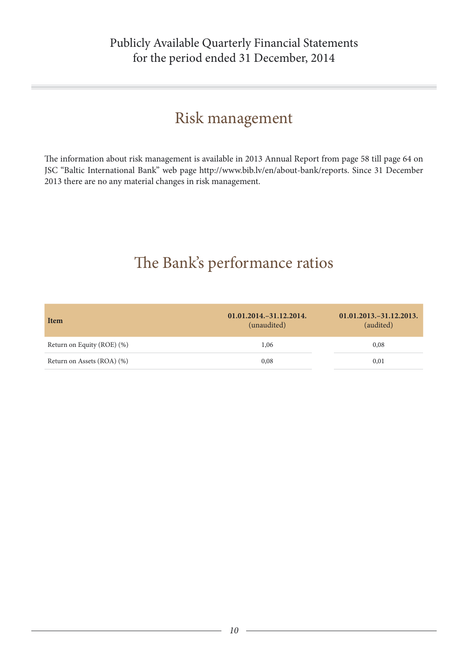### Risk management

The information about risk management is available in 2013 Annual Report from page 58 till page 64 on JSC "Baltic International Bank" web page http://www.bib.lv/en/about-bank/reports. Since 31 December 2013 there are no any material changes in risk management.

### The Bank's performance ratios

| <b>Item</b>                | $01.01.2014.-31.12.2014.$<br>(unaudited) | $01.01.2013 - 31.12.2013.$<br>(audited) |
|----------------------------|------------------------------------------|-----------------------------------------|
| Return on Equity (ROE) (%) | 1,06                                     | 0,08                                    |
| Return on Assets (ROA) (%) | 0,08                                     | 0,01                                    |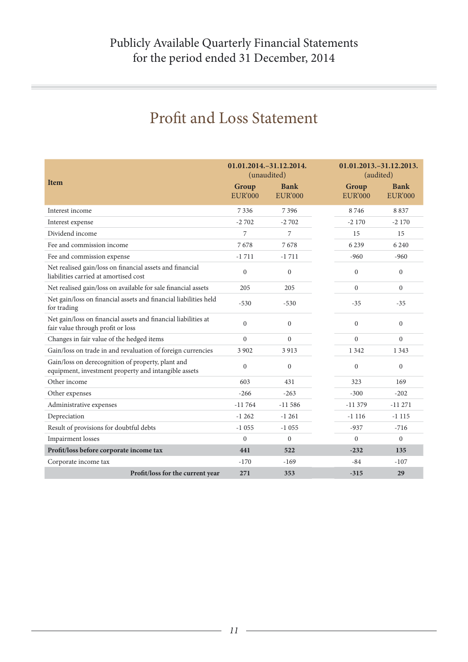|                                                                                                           | 01.01.2014. - 31.12.2014.<br>(unaudited) |                               |                         | 01.01.2013. - 31.12.2013.<br>(audited) |  |
|-----------------------------------------------------------------------------------------------------------|------------------------------------------|-------------------------------|-------------------------|----------------------------------------|--|
| <b>Item</b>                                                                                               | Group<br><b>EUR'000</b>                  | <b>Bank</b><br><b>EUR'000</b> | Group<br><b>EUR'000</b> | <b>Bank</b><br><b>EUR'000</b>          |  |
| Interest income                                                                                           | 7336                                     | 7396                          | 8746                    | 8837                                   |  |
| Interest expense                                                                                          | $-2702$                                  | $-2702$                       | $-2170$                 | $-2170$                                |  |
| Dividend income                                                                                           | 7                                        | 7                             | 15                      | 15                                     |  |
| Fee and commission income                                                                                 | 7678                                     | 7678                          | 6 2 3 9                 | 6 2 4 0                                |  |
| Fee and commission expense                                                                                | $-1711$                                  | $-1711$                       | $-960$                  | $-960$                                 |  |
| Net realised gain/loss on financial assets and financial<br>liabilities carried at amortised cost         | $\mathbf{0}$                             | $\mathbf{0}$                  | $\mathbf{0}$            | $\mathbf{0}$                           |  |
| Net realised gain/loss on available for sale financial assets                                             | 205                                      | 205                           | $\theta$                | $\Omega$                               |  |
| Net gain/loss on financial assets and financial liabilities held<br>for trading                           | $-530$                                   | $-530$                        | $-35$                   | $-35$                                  |  |
| Net gain/loss on financial assets and financial liabilities at<br>fair value through profit or loss       | $\Omega$                                 | $\mathbf{0}$                  | $\mathbf{0}$            | $\overline{0}$                         |  |
| Changes in fair value of the hedged items                                                                 | $\theta$                                 | $\theta$                      | $\Omega$                | $\Omega$                               |  |
| Gain/loss on trade in and revaluation of foreign currencies                                               | 3 9 0 2                                  | 3913                          | 1 3 4 2                 | 1 3 4 3                                |  |
| Gain/loss on derecognition of property, plant and<br>equipment, investment property and intangible assets | $\theta$                                 | $\mathbf{0}$                  | $\mathbf{0}$            | $\Omega$                               |  |
| Other income                                                                                              | 603                                      | 431                           | 323                     | 169                                    |  |
| Other expenses                                                                                            | $-266$                                   | $-263$                        | $-300$                  | $-202$                                 |  |
| Administrative expenses                                                                                   | $-11764$                                 | $-11586$                      | $-11379$                | $-11271$                               |  |
| Depreciation                                                                                              | $-1262$                                  | $-1261$                       | $-1116$                 | $-1115$                                |  |
| Result of provisions for doubtful debts                                                                   | $-1055$                                  | $-1055$                       | $-937$                  | $-716$                                 |  |
| <b>Impairment</b> losses                                                                                  | $\theta$                                 | $\theta$                      | $\theta$                | $\theta$                               |  |
| Profit/loss before corporate income tax                                                                   | 441                                      | 522                           | $-232$                  | 135                                    |  |
| Corporate income tax                                                                                      | $-170$                                   | $-169$                        | $-84$                   | $-107$                                 |  |
| Profit/loss for the current year                                                                          | 271                                      | 353                           | $-315$                  | 29                                     |  |

### Profit and Loss Statement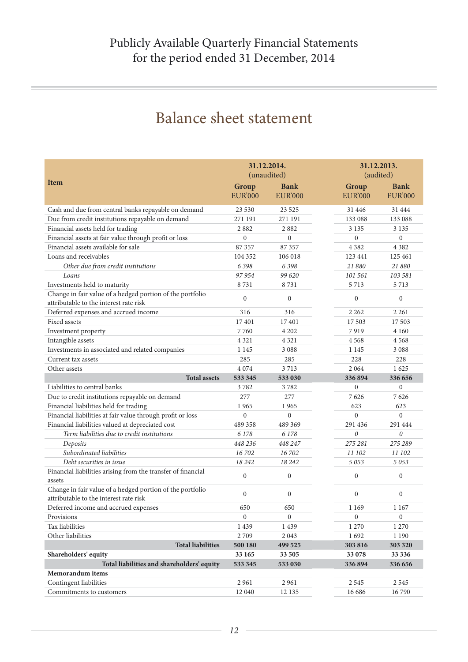### Balance sheet statement

|                                                                                                     | 31.12.2014.<br>(unaudited) |                               |                         | 31.12.2013.<br>(audited)      |  |
|-----------------------------------------------------------------------------------------------------|----------------------------|-------------------------------|-------------------------|-------------------------------|--|
| <b>Item</b>                                                                                         | Group<br><b>EUR'000</b>    | <b>Bank</b><br><b>EUR'000</b> | Group<br><b>EUR'000</b> | <b>Bank</b><br><b>EUR'000</b> |  |
| Cash and due from central banks repayable on demand                                                 | 23 530                     | 23 5 25                       | 31 446                  | 31 444                        |  |
| Due from credit institutions repayable on demand                                                    | 271 191                    | 271 191                       | 133 088                 | 133 088                       |  |
| Financial assets held for trading                                                                   | 2882                       | 2882                          | 3 1 3 5                 | 3 1 3 5                       |  |
| Financial assets at fair value through profit or loss                                               | $\boldsymbol{0}$           | $\boldsymbol{0}$              | $\boldsymbol{0}$        | $\boldsymbol{0}$              |  |
| Financial assets available for sale                                                                 | 87 357                     | 87 357                        | 4 3 8 2                 | 4 3 8 2                       |  |
| Loans and receivables                                                                               | 104 352                    | 106 018                       | 123 441                 | 125 461                       |  |
| Other due from credit institutions                                                                  | 6398                       | 6398                          | 21 880                  | 21 880                        |  |
| Loans                                                                                               | 97 954                     | 99 620                        | 101 561                 | 103 581                       |  |
| Investments held to maturity                                                                        | 8731                       | 8731                          | 5713                    | 5713                          |  |
| Change in fair value of a hedged portion of the portfolio<br>attributable to the interest rate risk | $\mathbf{0}$               | $\mathbf{0}$                  | $\mathbf{0}$            | $\boldsymbol{0}$              |  |
| Deferred expenses and accrued income                                                                | 316                        | 316                           | 2 2 6 2                 | 2 2 6 1                       |  |
| Fixed assets                                                                                        | 17401                      | 17401                         | 17 503                  | 17 503                        |  |
| Investment property                                                                                 | 7760                       | 4 2 0 2                       | 7919                    | 4 1 6 0                       |  |
| Intangible assets                                                                                   | 4 3 2 1                    | 4 3 2 1                       | 4 5 6 8                 | 4 5 6 8                       |  |
| Investments in associated and related companies                                                     | 1 1 4 5                    | 3 0 8 8                       | 1 1 4 5                 | 3 0 8 8                       |  |
| Current tax assets                                                                                  | 285                        | 285                           | 228                     | 228                           |  |
| Other assets                                                                                        | 4 0 7 4                    | 3713                          | 2 0 6 4                 | 1625                          |  |
| <b>Total assets</b>                                                                                 | 533 345                    | 533 030                       | 336894                  | 336 656                       |  |
| Liabilities to central banks                                                                        | 3782                       | 3782                          | $\boldsymbol{0}$        | $\boldsymbol{0}$              |  |
| Due to credit institutions repayable on demand                                                      | 277                        | 277                           | 7626                    | 7626                          |  |
| Financial liabilities held for trading                                                              | 1965                       | 1965                          | 623                     | 623                           |  |
| Financial liabilities at fair value through profit or loss                                          | $\mathbf{0}$               | $\boldsymbol{0}$              | $\overline{0}$          | $\overline{0}$                |  |
| Financial liabilities valued at depreciated cost                                                    | 489 358                    | 489 369                       | 291 436                 | 291 444                       |  |
| Term liabilities due to credit institutions                                                         | 6 1 7 8                    | 6 1 7 8                       | $\theta$                | $\boldsymbol{\theta}$         |  |
| Deposits                                                                                            | 448 236                    | 448 247                       | 275 281                 | 275 289                       |  |
| Subordinated liabilities                                                                            | 16702                      | 16 702                        | 11 102                  | 11 102                        |  |
| Debt securities in issue                                                                            | 18 24 2                    | 18 24 2                       | 5 0 5 3                 | 5 0 5 3                       |  |
| Financial liabilities arising from the transfer of financial<br>assets                              | $\mathbf{0}$               | $\boldsymbol{0}$              | $\boldsymbol{0}$        | $\boldsymbol{0}$              |  |
| Change in fair value of a hedged portion of the portfolio<br>attributable to the interest rate risk | $\mathbf{0}$               | $\mathbf{0}$                  | $\mathbf{0}$            | $\mathbf{0}$                  |  |
| Deferred income and accrued expenses                                                                | 650                        | 650                           | 1 1 6 9                 | 1 1 6 7                       |  |
| Provisions                                                                                          | $\boldsymbol{0}$           | $\boldsymbol{0}$              | $\boldsymbol{0}$        | $\boldsymbol{0}$              |  |
| Tax liabilities                                                                                     | 1439                       | 1 4 3 9                       | 1 2 7 0                 | 1 2 7 0                       |  |
| Other liabilities                                                                                   | 2709                       | 2043                          | 1692                    | 1 1 9 0                       |  |
| <b>Total liabilities</b>                                                                            | 500 180                    | 499 525                       | 303 816                 | 303 320                       |  |
| Shareholders' equity                                                                                | 33 165                     | 33 505                        | 33 078                  | 33 336                        |  |
| Total liabilities and shareholders' equity                                                          | 533 345                    | 533 030                       | 336 894                 | 336 656                       |  |
| Memorandum items                                                                                    |                            |                               |                         |                               |  |
| Contingent liabilities                                                                              | 2961                       | 2961                          | 2 5 4 5                 | 2545                          |  |
| Commitments to customers                                                                            | 12 040                     | 12 135                        | 16 686                  | 16 790                        |  |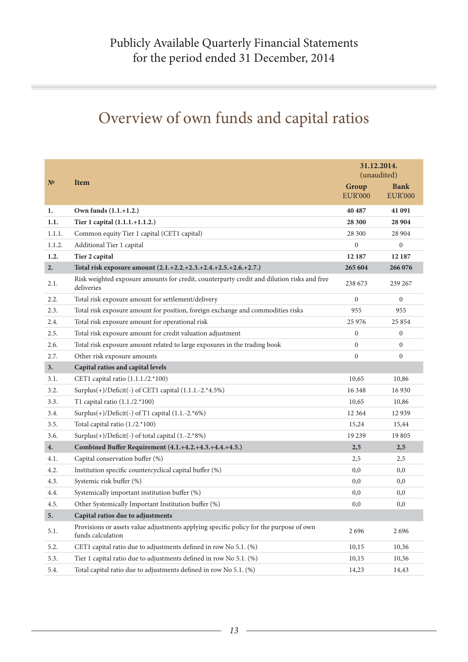## Overview of own funds and capital ratios

|                |                                                                                                             |                         | 31.12.2014.<br>(unaudited)    |
|----------------|-------------------------------------------------------------------------------------------------------------|-------------------------|-------------------------------|
| N <sup>2</sup> | <b>Item</b>                                                                                                 | Group<br><b>EUR'000</b> | <b>Bank</b><br><b>EUR'000</b> |
| 1.             | Own funds (1.1.+1.2.)                                                                                       | 40 487                  | 41 091                        |
| 1.1.           | Tier 1 capital (1.1.1.+1.1.2.)                                                                              | 28 300                  | 28 904                        |
| 1.1.1.         | Common equity Tier 1 capital (CET1 capital)                                                                 | 28 300                  | 28 904                        |
| 1.1.2.         | Additional Tier 1 capital                                                                                   | $\boldsymbol{0}$        | $\boldsymbol{0}$              |
| 1.2.           | Tier 2 capital                                                                                              | 12 187                  | 12 187                        |
| 2.             | Total risk exposure amount (2.1.+2.2.+2.3.+2.4.+2.5.+2.6.+2.7.)                                             | 265 604                 | 266 076                       |
| 2.1.           | Risk weighted exposure amounts for credit, counterparty credit and dilution risks and free<br>deliveries    | 238 673                 | 239 267                       |
| 2.2.           | Total risk exposure amount for settlement/delivery                                                          | $\theta$                | $\mathbf{0}$                  |
| 2.3.           | Total risk exposure amount for position, foreign exchange and commodities risks                             | 955                     | 955                           |
| 2.4.           | Total risk exposure amount for operational risk                                                             | 25 976                  | 25 8 5 4                      |
| 2.5.           | Total risk exposure amount for credit valuation adjustment                                                  | $\mathbf{0}$            | $\mathbf{0}$                  |
| 2.6.           | Total risk exposure amount related to large exposures in the trading book                                   | $\mathbf{0}$            | $\boldsymbol{0}$              |
| 2.7.           | Other risk exposure amounts                                                                                 | $\overline{0}$          | $\boldsymbol{0}$              |
| 3.             | Capital ratios and capital levels                                                                           |                         |                               |
| 3.1.           | CET1 capital ratio (1.1.1./2.*100)                                                                          | 10,65                   | 10,86                         |
| 3.2.           | Surplus(+)/Deficit(-) of CET1 capital (1.1.1.-2.*4.5%)                                                      | 16 348                  | 16 9 30                       |
| 3.3.           | T1 capital ratio (1.1./2.*100)                                                                              | 10,65                   | 10,86                         |
| 3.4.           | Surplus $(+)/$ Deficit $(-)$ of T1 capital $(1.1.-2.*6%)$                                                   | 12 3 6 4                | 12939                         |
| 3.5.           | Total capital ratio (1./2.*100)                                                                             | 15,24                   | 15,44                         |
| 3.6.           | Surplus(+)/Deficit(-) of total capital (1.-2.*8%)                                                           | 19 239                  | 19805                         |
| 4.             | Combined Buffer Requirement (4.1.+4.2.+4.3.+4.4.+4.5.)                                                      | 2,5                     | 2,5                           |
| 4.1.           | Capital conservation buffer (%)                                                                             | 2,5                     | 2,5                           |
| 4.2.           | Institution specific countercyclical capital buffer (%)                                                     | 0,0                     | 0,0                           |
| 4.3.           | Systemic risk buffer (%)                                                                                    | 0,0                     | 0,0                           |
| 4.4.           | Systemically important institution buffer (%)                                                               | 0,0                     | 0,0                           |
| 4.5.           | Other Systemically Important Institution buffer (%)                                                         | 0,0                     | 0,0                           |
| 5.             | Capital ratios due to adjustments                                                                           |                         |                               |
| 5.1.           | Provisions or assets value adjustments applying specific policy for the purpose of own<br>funds calculation | 2696                    | 2696                          |
| 5.2.           | CET1 capital ratio due to adjustments defined in row No 5.1. (%)                                            | 10,15                   | 10,36                         |
| 5.3.           | Tier 1 capital ratio due to adjustments defined in row No 5.1. (%)                                          | 10,15                   | 10,36                         |
| 5.4.           | Total capital ratio due to adjustments defined in row No 5.1. (%)                                           | 14,23                   | 14,43                         |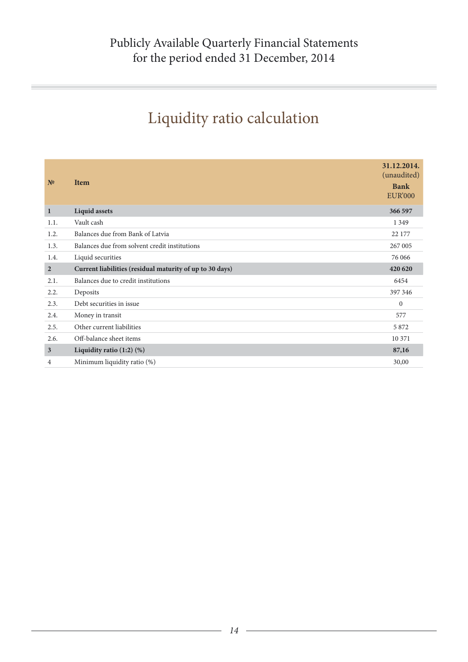# Liquidity ratio calculation

| N <sup>0</sup> | <b>Item</b>                                              | 31.12.2014.<br>(unaudited)<br><b>Bank</b><br><b>EUR'000</b> |
|----------------|----------------------------------------------------------|-------------------------------------------------------------|
| $\mathbf{1}$   | <b>Liquid assets</b>                                     | 366 597                                                     |
| 1.1.           | Vault cash                                               | 1 3 4 9                                                     |
| 1.2.           | Balances due from Bank of Latvia                         | 22 177                                                      |
| 1.3.           | Balances due from solvent credit institutions            | 267 005                                                     |
| 1.4.           | Liquid securities                                        | 76 066                                                      |
| $\overline{2}$ | Current liabilities (residual maturity of up to 30 days) | 420 620                                                     |
| 2.1.           | Balances due to credit institutions                      | 6454                                                        |
| 2.2.           | Deposits                                                 | 397 346                                                     |
| 2.3.           | Debt securities in issue                                 | $\mathbf{0}$                                                |
| 2.4.           | Money in transit                                         | 577                                                         |
| 2.5.           | Other current liabilities                                | 5872                                                        |
|                |                                                          |                                                             |
| 2.6.           | Off-balance sheet items                                  | 10 371                                                      |
| $\mathbf{3}$   | Liquidity ratio $(1:2)$ $(\%)$                           | 87,16                                                       |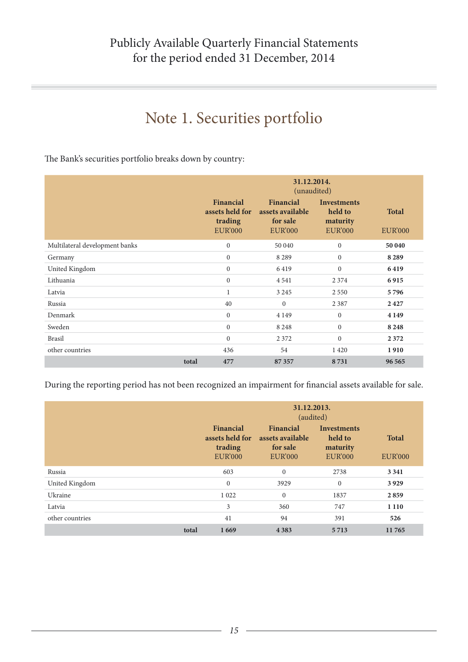## Note 1. Securities portfolio

The Bank's securities portfolio breaks down by country:

|                                |       | 31.12.2014.<br>(unaudited)                                |                                                             |                                                             |                                |
|--------------------------------|-------|-----------------------------------------------------------|-------------------------------------------------------------|-------------------------------------------------------------|--------------------------------|
|                                |       | Financial<br>assets held for<br>trading<br><b>EUR'000</b> | Financial<br>assets available<br>for sale<br><b>EUR'000</b> | <b>Investments</b><br>held to<br>maturity<br><b>EUR'000</b> | <b>Total</b><br><b>EUR'000</b> |
| Multilateral development banks |       | $\mathbf{0}$                                              | 50 040                                                      | $\mathbf{0}$                                                | 50 040                         |
| Germany                        |       | $\mathbf{0}$                                              | 8 2 8 9                                                     | $\boldsymbol{0}$                                            | 8 2 8 9                        |
| United Kingdom                 |       | $\mathbf{0}$                                              | 6419                                                        | $\mathbf{0}$                                                | 6419                           |
| Lithuania                      |       | $\boldsymbol{0}$                                          | 4 5 4 1                                                     | 2 3 7 4                                                     | 6915                           |
| Latvia                         |       | 1                                                         | 3 2 4 5                                                     | 2 5 5 0                                                     | 5796                           |
| Russia                         |       | 40                                                        | $\theta$                                                    | 2 3 8 7                                                     | 2427                           |
| Denmark                        |       | $\mathbf{0}$                                              | 4 1 4 9                                                     | $\mathbf{0}$                                                | 4 1 4 9                        |
| Sweden                         |       | $\mathbf{0}$                                              | 8 2 4 8                                                     | $\overline{0}$                                              | 8 2 4 8                        |
| <b>Brasil</b>                  |       | $\mathbf{0}$                                              | 2 3 7 2                                                     | $\mathbf{0}$                                                | 2 3 7 2                        |
| other countries                |       | 436                                                       | 54                                                          | 1420                                                        | 1910                           |
|                                | total | 477                                                       | 87357                                                       | 8731                                                        | 96 565                         |

During the reporting period has not been recognized an impairment for financial assets available for sale.

|                 | 31.12.2013.<br>(audited) |                                                           |                                                             |                                                             |                                |
|-----------------|--------------------------|-----------------------------------------------------------|-------------------------------------------------------------|-------------------------------------------------------------|--------------------------------|
|                 |                          | Financial<br>assets held for<br>trading<br><b>EUR'000</b> | Financial<br>assets available<br>for sale<br><b>EUR'000</b> | <b>Investments</b><br>held to<br>maturity<br><b>EUR'000</b> | <b>Total</b><br><b>EUR'000</b> |
| Russia          |                          | 603                                                       | $\mathbf{0}$                                                | 2738                                                        | 3 3 4 1                        |
| United Kingdom  |                          | $\mathbf{0}$                                              | 3929                                                        | $\mathbf{0}$                                                | 3929                           |
| Ukraine         |                          | 1 0 2 2                                                   | $\mathbf{0}$                                                | 1837                                                        | 2859                           |
| Latvia          |                          | 3                                                         | 360                                                         | 747                                                         | 1 1 1 0                        |
| other countries |                          | 41                                                        | 94                                                          | 391                                                         | 526                            |
|                 | total                    | 1669                                                      | 4 3 8 3                                                     | 5 7 1 3                                                     | 11765                          |